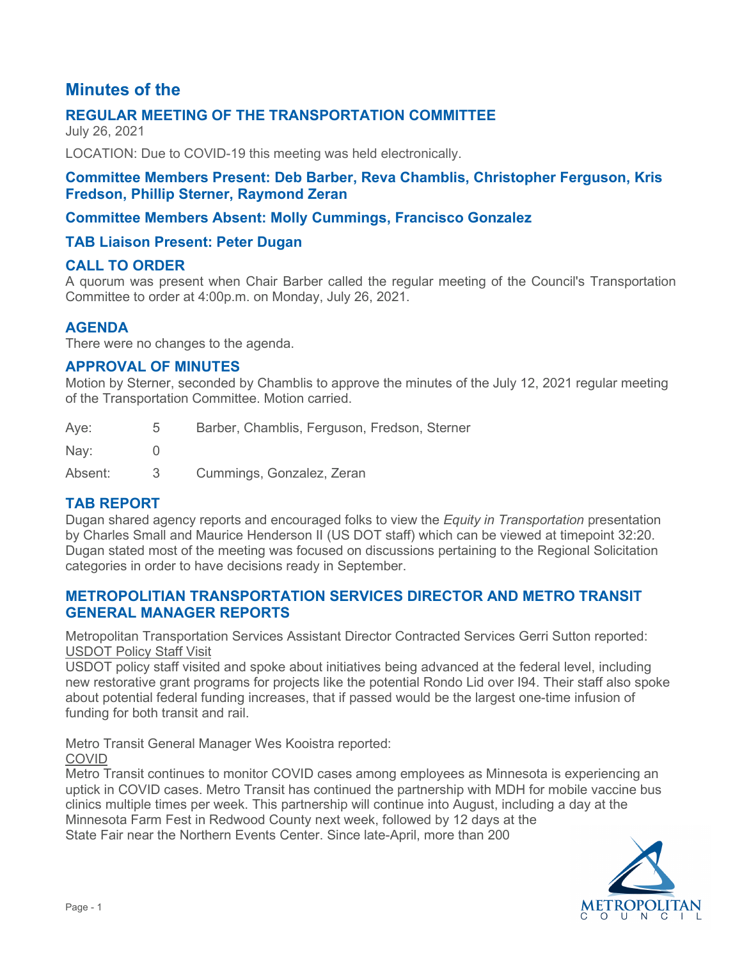# **Minutes of the**

# **REGULAR MEETING OF THE TRANSPORTATION COMMITTEE**

July 26, 2021

LOCATION: Due to COVID-19 this meeting was held electronically.

#### **Committee Members Present: Deb Barber, Reva Chamblis, Christopher Ferguson, Kris Fredson, Phillip Sterner, Raymond Zeran**

### **Committee Members Absent: Molly Cummings, Francisco Gonzalez**

### **TAB Liaison Present: Peter Dugan**

### **CALL TO ORDER**

A quorum was present when Chair Barber called the regular meeting of the Council's Transportation Committee to order at 4:00p.m. on Monday, July 26, 2021.

### **AGENDA**

There were no changes to the agenda.

#### **APPROVAL OF MINUTES**

Motion by Sterner, seconded by Chamblis to approve the minutes of the July 12, 2021 regular meeting of the Transportation Committee. Motion carried.

| Aye:    | $5^{\circ}$ | Barber, Chamblis, Ferguson, Fredson, Sterner |
|---------|-------------|----------------------------------------------|
| Nay:    |             |                                              |
| Absent: | -3-         | Cummings, Gonzalez, Zeran                    |

### **TAB REPORT**

Dugan shared agency reports and encouraged folks to view the *Equity in Transportation* presentation by Charles Small and Maurice Henderson II (US DOT staff) which can be viewed at timepoint 32:20. Dugan stated most of the meeting was focused on discussions pertaining to the Regional Solicitation categories in order to have decisions ready in September.

### **METROPOLITIAN TRANSPORTATION SERVICES DIRECTOR AND METRO TRANSIT GENERAL MANAGER REPORTS**

Metropolitan Transportation Services Assistant Director Contracted Services Gerri Sutton reported: USDOT Policy Staff Visit

USDOT policy staff visited and spoke about initiatives being advanced at the federal level, including new restorative grant programs for projects like the potential Rondo Lid over I94. Their staff also spoke about potential federal funding increases, that if passed would be the largest one-time infusion of funding for both transit and rail.

Metro Transit General Manager Wes Kooistra reported:

COVID

Metro Transit continues to monitor COVID cases among employees as Minnesota is experiencing an uptick in COVID cases. Metro Transit has continued the partnership with MDH for mobile vaccine bus clinics multiple times per week. This partnership will continue into August, including a day at the Minnesota Farm Fest in Redwood County next week, followed by 12 days at the State Fair near the Northern Events Center. Since late-April, more than 200

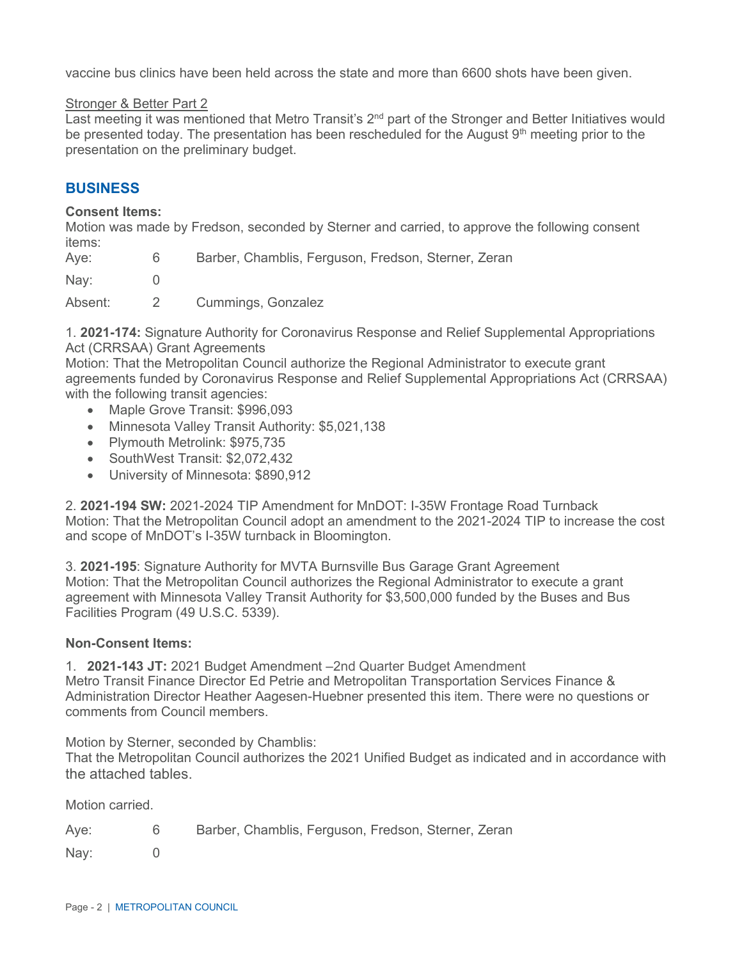vaccine bus clinics have been held across the state and more than 6600 shots have been given.

#### Stronger & Better Part 2

Last meeting it was mentioned that Metro Transit's 2<sup>nd</sup> part of the Stronger and Better Initiatives would be presented today. The presentation has been rescheduled for the August  $9<sup>th</sup>$  meeting prior to the presentation on the preliminary budget.

#### **BUSINESS**

#### **Consent Items:**

Motion was made by Fredson, seconded by Sterner and carried, to approve the following consent items:

| Aye:    | 6 | Barber, Chamblis, Ferguson, Fredson, Sterner, Zeran |
|---------|---|-----------------------------------------------------|
| Nay:    |   |                                                     |
| Absent: |   | Cummings, Gonzalez                                  |

1. **2021-174:** Signature Authority for Coronavirus Response and Relief Supplemental Appropriations Act (CRRSAA) Grant Agreements

Motion: That the Metropolitan Council authorize the Regional Administrator to execute grant agreements funded by Coronavirus Response and Relief Supplemental Appropriations Act (CRRSAA) with the following transit agencies:

- Maple Grove Transit: \$996,093
- Minnesota Valley Transit Authority: \$5,021,138
- Plymouth Metrolink: \$975.735
- SouthWest Transit: \$2,072,432
- University of Minnesota: \$890,912

2. **2021-194 SW:** 2021-2024 TIP Amendment for MnDOT: I-35W Frontage Road Turnback Motion: That the Metropolitan Council adopt an amendment to the 2021-2024 TIP to increase the cost and scope of MnDOT's I-35W turnback in Bloomington.

3. **2021-195**: Signature Authority for MVTA Burnsville Bus Garage Grant Agreement Motion: That the Metropolitan Council authorizes the Regional Administrator to execute a grant agreement with Minnesota Valley Transit Authority for \$3,500,000 funded by the Buses and Bus Facilities Program (49 U.S.C. 5339).

#### **Non-Consent Items:**

1. **2021-143 JT:** 2021 Budget Amendment –2nd Quarter Budget Amendment Metro Transit Finance Director Ed Petrie and Metropolitan Transportation Services Finance & Administration Director Heather Aagesen-Huebner presented this item. There were no questions or comments from Council members.

Motion by Sterner, seconded by Chamblis:

That the Metropolitan Council authorizes the 2021 Unified Budget as indicated and in accordance with the attached tables.

Motion carried.

| Aye: | Barber, Chamblis, Ferguson, Fredson, Sterner, Zeran |
|------|-----------------------------------------------------|
| Nay: |                                                     |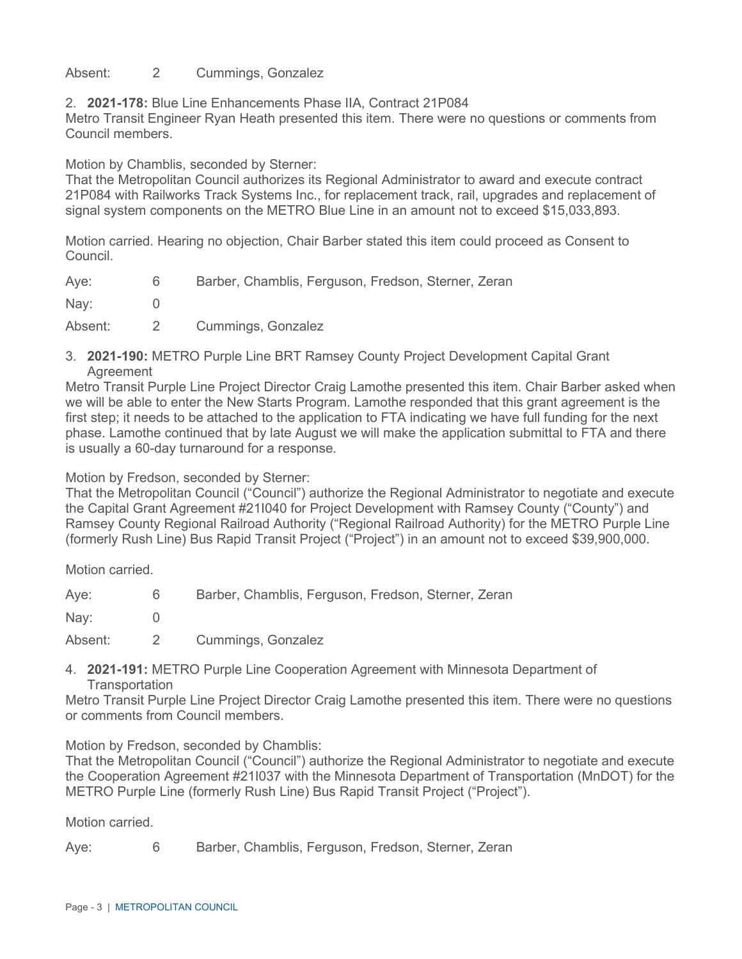#### Absent: 2 Cummings, Gonzalez

2. **2021-178:** Blue Line Enhancements Phase IIA, Contract 21P084

Metro Transit Engineer Ryan Heath presented this item. There were no questions or comments from Council members.

Motion by Chamblis, seconded by Sterner:

That the Metropolitan Council authorizes its Regional Administrator to award and execute contract 21P084 with Railworks Track Systems Inc., for replacement track, rail, upgrades and replacement of signal system components on the METRO Blue Line in an amount not to exceed \$15,033,893.

Motion carried. Hearing no objection, Chair Barber stated this item could proceed as Consent to Council.

| Aye:    | 6        | Barber, Chamblis, Ferguson, Fredson, Sterner, Zeran |
|---------|----------|-----------------------------------------------------|
| Nay:    |          |                                                     |
| Absent: | $\sim$ 2 | Cummings, Gonzalez                                  |

3. **2021-190:** METRO Purple Line BRT Ramsey County Project Development Capital Grant Agreement

Metro Transit Purple Line Project Director Craig Lamothe presented this item. Chair Barber asked when we will be able to enter the New Starts Program. Lamothe responded that this grant agreement is the first step; it needs to be attached to the application to FTA indicating we have full funding for the next phase. Lamothe continued that by late August we will make the application submittal to FTA and there is usually a 60-day turnaround for a response.

Motion by Fredson, seconded by Sterner:

That the Metropolitan Council ("Council") authorize the Regional Administrator to negotiate and execute the Capital Grant Agreement #21I040 for Project Development with Ramsey County ("County") and Ramsey County Regional Railroad Authority ("Regional Railroad Authority) for the METRO Purple Line (formerly Rush Line) Bus Rapid Transit Project ("Project") in an amount not to exceed \$39,900,000.

Motion carried.

Aye: 6 Barber, Chamblis, Ferguson, Fredson, Sterner, Zeran

Nav: 0

Absent: 2 Cummings, Gonzalez

4. **2021-191:** METRO Purple Line Cooperation Agreement with Minnesota Department of **Transportation** 

Metro Transit Purple Line Project Director Craig Lamothe presented this item. There were no questions or comments from Council members.

Motion by Fredson, seconded by Chamblis:

That the Metropolitan Council ("Council") authorize the Regional Administrator to negotiate and execute the Cooperation Agreement #21I037 with the Minnesota Department of Transportation (MnDOT) for the METRO Purple Line (formerly Rush Line) Bus Rapid Transit Project ("Project").

Motion carried.

Aye: 6 Barber, Chamblis, Ferguson, Fredson, Sterner, Zeran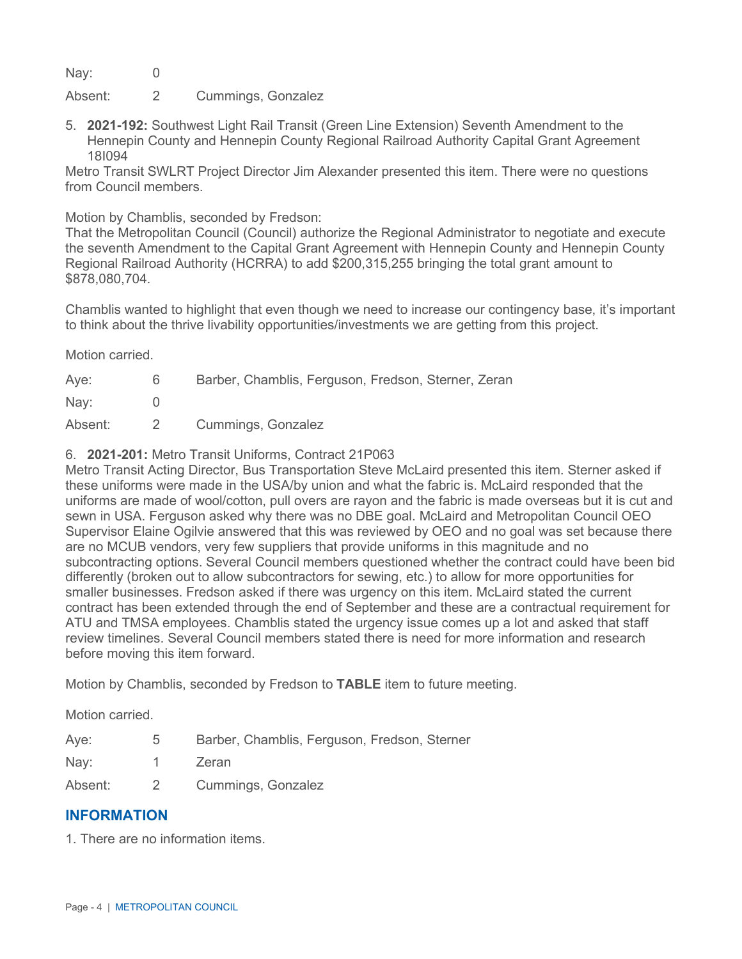Nay: 0

Absent: 2 Cummings, Gonzalez

5. **2021-192:** Southwest Light Rail Transit (Green Line Extension) Seventh Amendment to the Hennepin County and Hennepin County Regional Railroad Authority Capital Grant Agreement 18I094

Metro Transit SWLRT Project Director Jim Alexander presented this item. There were no questions from Council members.

Motion by Chamblis, seconded by Fredson:

That the Metropolitan Council (Council) authorize the Regional Administrator to negotiate and execute the seventh Amendment to the Capital Grant Agreement with Hennepin County and Hennepin County Regional Railroad Authority (HCRRA) to add \$200,315,255 bringing the total grant amount to \$878,080,704.

Chamblis wanted to highlight that even though we need to increase our contingency base, it's important to think about the thrive livability opportunities/investments we are getting from this project.

Motion carried.

| Aye:    | 6     | Barber, Chamblis, Ferguson, Fredson, Sterner, Zeran |
|---------|-------|-----------------------------------------------------|
| Nay:    |       |                                                     |
| Absent: | - 2 - | Cummings, Gonzalez                                  |

#### 6. **2021-201:** Metro Transit Uniforms, Contract 21P063

Metro Transit Acting Director, Bus Transportation Steve McLaird presented this item. Sterner asked if these uniforms were made in the USA/by union and what the fabric is. McLaird responded that the uniforms are made of wool/cotton, pull overs are rayon and the fabric is made overseas but it is cut and sewn in USA. Ferguson asked why there was no DBE goal. McLaird and Metropolitan Council OEO Supervisor Elaine Ogilvie answered that this was reviewed by OEO and no goal was set because there are no MCUB vendors, very few suppliers that provide uniforms in this magnitude and no subcontracting options. Several Council members questioned whether the contract could have been bid differently (broken out to allow subcontractors for sewing, etc.) to allow for more opportunities for smaller businesses. Fredson asked if there was urgency on this item. McLaird stated the current contract has been extended through the end of September and these are a contractual requirement for ATU and TMSA employees. Chamblis stated the urgency issue comes up a lot and asked that staff review timelines. Several Council members stated there is need for more information and research before moving this item forward.

Motion by Chamblis, seconded by Fredson to **TABLE** item to future meeting.

Motion carried.

| Aye: |  |  |  | Barber, Chamblis, Ferguson, Fredson, Sterner |  |  |
|------|--|--|--|----------------------------------------------|--|--|
|------|--|--|--|----------------------------------------------|--|--|

Nay: 1 Zeran

Absent: 2 Cummings, Gonzalez

### **INFORMATION**

1. There are no information items.